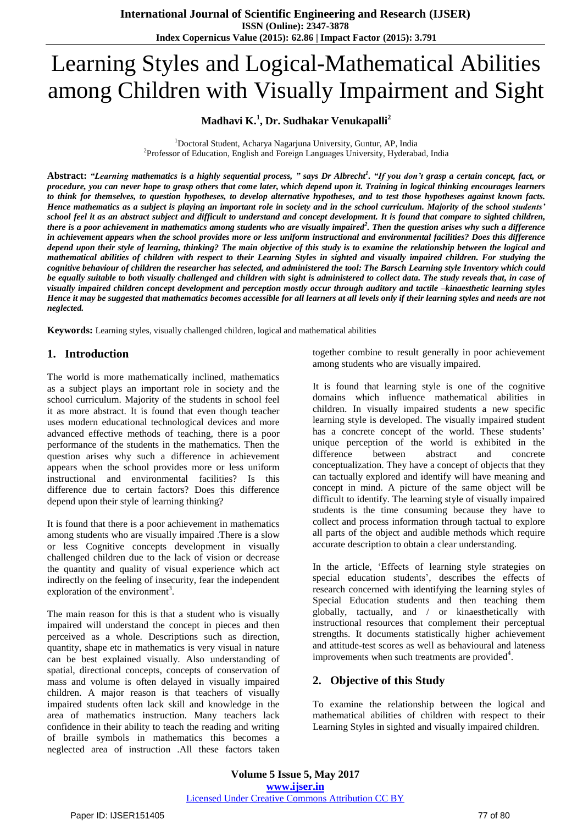# Learning Styles and Logical-Mathematical Abilities among Children with Visually Impairment and Sight

## **Madhavi K.<sup>1</sup> , Dr. Sudhakar Venukapalli<sup>2</sup>**

 $1$ Doctoral Student, Acharya Nagariuna University, Guntur, AP, India <sup>2</sup>Professor of Education, English and Foreign Languages University, Hyderabad, India

Abstract: "Learning mathematics is a highly sequential process, " says Dr Albrecht<sup>1</sup>. "If you don't grasp a certain concept, fact, or procedure, you can never hope to grasp others that come later, which depend upon it. Training in logical thinking encourages learners to think for themselves, to question hypotheses, to develop alternative hypotheses, and to test those hypotheses against known facts. Hence mathematics as a subject is playing an important role in society and in the school curriculum. Majority of the school students' school feel it as an abstract subject and difficult to understand and concept development. It is found that compare to sighted children, there is a poor achievement in mathematics among students who are visually impaired<sup>2</sup>. Then the question arises why such a difference in achievement appears when the school provides more or less uniform instructional and environmental facilities? Does this difference depend upon their style of learning, thinking? The main objective of this study is to examine the relationship between the logical and mathematical abilities of children with respect to their Learning Styles in sighted and visually impaired children. For studying the cognitive behaviour of children the researcher has selected, and administered the tool: The Barsch Learning style Inventory which could be equally suitable to both visually challenged and children with sight is administered to collect data. The study reveals that, in case of visually impaired children concept development and perception mostly occur through auditory and tactile -kinaesthetic learning styles Hence it may be suggested that mathematics becomes accessible for all learners at all levels only if their learning styles and needs are not *neglected.*

**Keywords:** Learning styles, visually challenged children, logical and mathematical abilities

### **1. Introduction**

The world is more mathematically inclined, mathematics as a subject plays an important role in society and the school curriculum. Majority of the students in school feel it as more abstract. It is found that even though teacher uses modern educational technological devices and more advanced effective methods of teaching, there is a poor performance of the students in the mathematics. Then the question arises why such a difference in achievement appears when the school provides more or less uniform instructional and environmental facilities? Is this difference due to certain factors? Does this difference depend upon their style of learning thinking?

It is found that there is a poor achievement in mathematics among students who are visually impaired .There is a slow or less Cognitive concepts development in visually challenged children due to the lack of vision or decrease the quantity and quality of visual experience which act indirectly on the feeling of insecurity, fear the independent exploration of the environment<sup>3</sup>.

The main reason for this is that a student who is visually impaired will understand the concept in pieces and then perceived as a whole. Descriptions such as direction, quantity, shape etc in mathematics is very visual in nature can be best explained visually. Also understanding of spatial, directional concepts, concepts of conservation of mass and volume is often delayed in visually impaired children. A major reason is that teachers of visually impaired students often lack skill and knowledge in the area of mathematics instruction. Many teachers lack confidence in their ability to teach the reading and writing of braille symbols in mathematics this becomes a neglected area of instruction .All these factors taken

together combine to result generally in poor achievement among students who are visually impaired.

It is found that learning style is one of the cognitive domains which influence mathematical abilities in children. In visually impaired students a new specific learning style is developed. The visually impaired student has a concrete concept of the world. These students' unique perception of the world is exhibited in the difference between abstract and concrete conceptualization. They have a concept of objects that they can tactually explored and identify will have meaning and concept in mind. A picture of the same object will be difficult to identify. The learning style of visually impaired students is the time consuming because they have to collect and process information through tactual to explore all parts of the object and audible methods which require accurate description to obtain a clear understanding.

In the article, "Effects of learning style strategies on special education students", describes the effects of research concerned with identifying the learning styles of Special Education students and then teaching them globally, tactually, and / or kinaesthetically with instructional resources that complement their perceptual strengths. It documents statistically higher achievement and attitude-test scores as well as behavioural and lateness improvements when such treatments are provided<sup>4</sup>.

## **2. Objective of this Study**

To examine the relationship between the logical and mathematical abilities of children with respect to their Learning Styles in sighted and visually impaired children.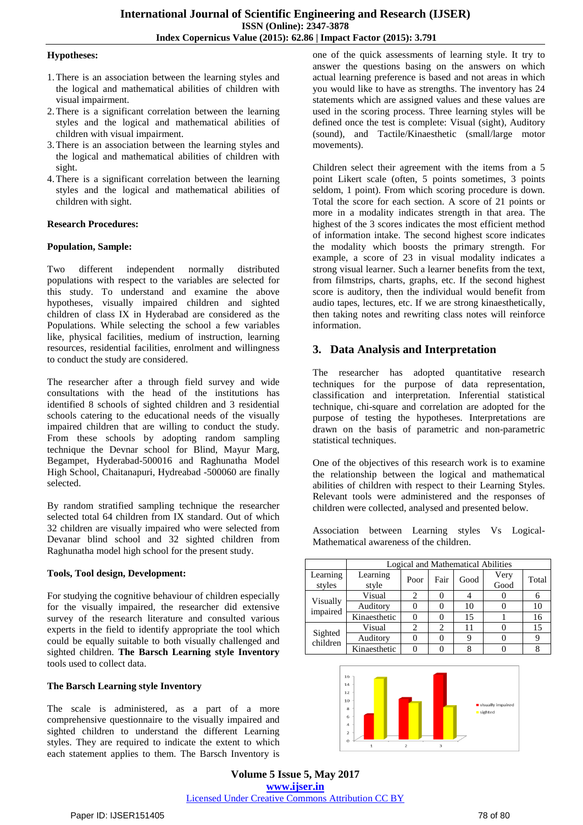#### **Hypotheses:**

- 1.There is an association between the learning styles and the logical and mathematical abilities of children with visual impairment.
- 2.There is a significant correlation between the learning styles and the logical and mathematical abilities of children with visual impairment.
- 3.There is an association between the learning styles and the logical and mathematical abilities of children with sight.
- 4.There is a significant correlation between the learning styles and the logical and mathematical abilities of children with sight.

#### **Research Procedures:**

#### **Population, Sample:**

Two different independent normally distributed populations with respect to the variables are selected for this study. To understand and examine the above hypotheses, visually impaired children and sighted children of class IX in Hyderabad are considered as the Populations. While selecting the school a few variables like, physical facilities, medium of instruction, learning resources, residential facilities, enrolment and willingness to conduct the study are considered.

The researcher after a through field survey and wide consultations with the head of the institutions has identified 8 schools of sighted children and 3 residential schools catering to the educational needs of the visually impaired children that are willing to conduct the study. From these schools by adopting random sampling technique the Devnar school for Blind, Mayur Marg, Begampet, Hyderabad-500016 and Raghunatha Model High School, Chaitanapuri, Hydreabad -500060 are finally selected.

By random stratified sampling technique the researcher selected total 64 children from IX standard. Out of which 32 children are visually impaired who were selected from Devanar blind school and 32 sighted children from Raghunatha model high school for the present study.

#### **Tools, Tool design, Development:**

For studying the cognitive behaviour of children especially for the visually impaired, the researcher did extensive survey of the research literature and consulted various experts in the field to identify appropriate the tool which could be equally suitable to both visually challenged and sighted children. **The Barsch Learning style Inventory** tools used to collect data.

#### **The Barsch Learning style Inventory**

The scale is administered, as a part of a more comprehensive questionnaire to the visually impaired and sighted children to understand the different Learning styles. They are required to indicate the extent to which each statement applies to them. The Barsch Inventory is

one of the quick assessments of learning style. It try to answer the questions basing on the answers on which actual learning preference is based and not areas in which you would like to have as strengths. The inventory has 24 statements which are assigned values and these values are used in the scoring process. Three learning styles will be defined once the test is complete: Visual (sight), Auditory (sound), and Tactile/Kinaesthetic (small/large motor movements).

Children select their agreement with the items from a 5 point Likert scale (often, 5 points sometimes, 3 points seldom, 1 point). From which scoring procedure is down. Total the score for each section. A score of 21 points or more in a modality indicates strength in that area. The highest of the 3 scores indicates the most efficient method of information intake. The second highest score indicates the modality which boosts the primary strength. For example, a score of 23 in visual modality indicates a strong visual learner. Such a learner benefits from the text, from filmstrips, charts, graphs, etc. If the second highest score is auditory, then the individual would benefit from audio tapes, lectures, etc. If we are strong kinaesthetically, then taking notes and rewriting class notes will reinforce information.

## **3. Data Analysis and Interpretation**

The researcher has adopted quantitative research techniques for the purpose of data representation, classification and interpretation. Inferential statistical technique, chi-square and correlation are adopted for the purpose of testing the hypotheses. Interpretations are drawn on the basis of parametric and non-parametric statistical techniques.

One of the objectives of this research work is to examine the relationship between the logical and mathematical abilities of children with respect to their Learning Styles. Relevant tools were administered and the responses of children were collected, analysed and presented below.

Association between Learning styles Vs Logical-Mathematical awareness of the children.

|                      | Logical and Mathematical Abilities |      |      |      |              |       |  |  |
|----------------------|------------------------------------|------|------|------|--------------|-------|--|--|
| Learning<br>styles   | Learning<br>style                  | Poor | Fair | Good | Very<br>Good | Total |  |  |
| Visually<br>impaired | Visual                             |      |      |      |              |       |  |  |
|                      | Auditory                           |      |      | 10   |              | 10    |  |  |
|                      | Kinaesthetic                       |      |      | 15   |              | 16    |  |  |
| Sighted<br>children  | Visual                             | 2    | 2    | 11   |              | 15    |  |  |
|                      | Auditory                           |      |      |      |              |       |  |  |
|                      | Kinaesthetic                       |      |      |      |              |       |  |  |



**Volume 5 Issue 5, May 2017 www.ijser.in** Licensed Under Creative Commons Attribution CC BY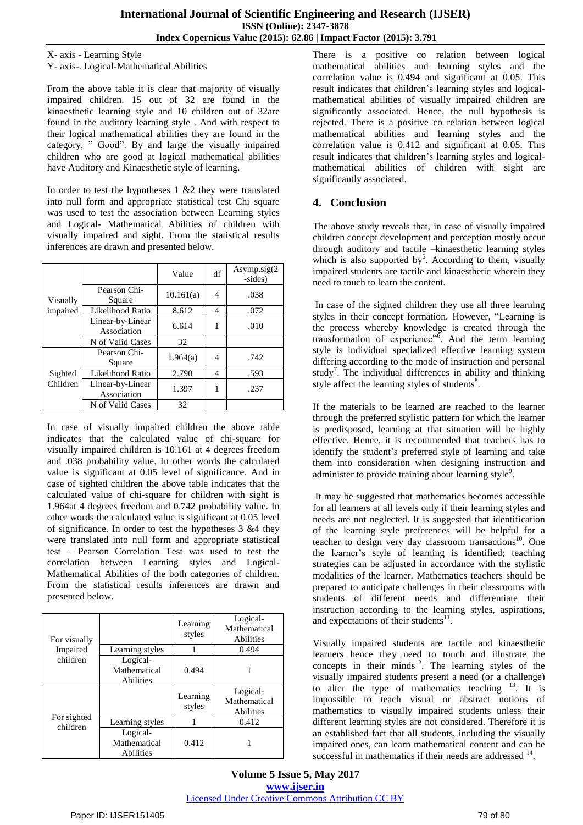#### X- axis - Learning Style

Y- axis-. Logical-Mathematical Abilities

From the above table it is clear that majority of visually impaired children. 15 out of 32 are found in the kinaesthetic learning style and 10 children out of 32are found in the auditory learning style . And with respect to their logical mathematical abilities they are found in the category, " Good". By and large the visually impaired children who are good at logical mathematical abilities have Auditory and Kinaesthetic style of learning.

In order to test the hypotheses  $1 \& 2$  they were translated into null form and appropriate statistical test Chi square was used to test the association between Learning styles and Logical- Mathematical Abilities of children with visually impaired and sight. From the statistical results inferences are drawn and presented below.

| Visually<br>impaired |                                 | Value     | df | Asymp.sig $(2)$<br>-sides) |
|----------------------|---------------------------------|-----------|----|----------------------------|
|                      | Pearson Chi-<br>Square          | 10.161(a) | 4  | .038                       |
|                      | Likelihood Ratio                | 8.612     | 4  | .072                       |
|                      | Linear-by-Linear<br>Association | 6.614     | 1  | .010                       |
|                      | N of Valid Cases                | 32        |    |                            |
| Sighted<br>Children  | Pearson Chi-<br>Square          | 1.964(a)  | 4  | .742                       |
|                      | Likelihood Ratio                | 2.790     | 4  | .593                       |
|                      | Linear-by-Linear<br>Association | 1.397     |    | .237                       |
|                      | N of Valid Cases                | 32        |    |                            |

In case of visually impaired children the above table indicates that the calculated value of chi-square for visually impaired children is 10.161 at 4 degrees freedom and .038 probability value. In other words the calculated value is significant at 0.05 level of significance. And in case of sighted children the above table indicates that the calculated value of chi-square for children with sight is 1.964at 4 degrees freedom and 0.742 probability value. In other words the calculated value is significant at 0.05 level of significance. In order to test the hypotheses 3 &4 they were translated into null form and appropriate statistical test – Pearson Correlation Test was used to test the correlation between Learning styles and Logical-Mathematical Abilities of the both categories of children. From the statistical results inferences are drawn and presented below.

| For visually            |                                       | Learning<br>styles | Logical-<br>Mathematical<br>Abilities |
|-------------------------|---------------------------------------|--------------------|---------------------------------------|
| Impaired                | Learning styles                       |                    | 0.494                                 |
| children                | Logical-<br>Mathematical<br>Abilities | 0.494              |                                       |
|                         |                                       | Learning<br>styles | Logical-<br>Mathematical<br>Abilities |
| For sighted<br>children | Learning styles                       |                    | 0.412                                 |
|                         | Logical-<br>Mathematical<br>Abilities | 0.412              |                                       |

There is a positive co relation between logical mathematical abilities and learning styles and the correlation value is 0.494 and significant at 0.05. This result indicates that children"s learning styles and logicalmathematical abilities of visually impaired children are significantly associated. Hence, the null hypothesis is rejected. There is a positive co relation between logical mathematical abilities and learning styles and the correlation value is 0.412 and significant at 0.05. This result indicates that children"s learning styles and logicalmathematical abilities of children with sight are significantly associated.

## **4. Conclusion**

The above study reveals that, in case of visually impaired children concept development and perception mostly occur through auditory and tactile –kinaesthetic learning styles which is also supported by<sup>5</sup>. According to them, visually impaired students are tactile and kinaesthetic wherein they need to touch to learn the content.

In case of the sighted children they use all three learning styles in their concept formation. However, "Learning is the process whereby knowledge is created through the transformation of experience"<sup>6</sup>. And the term learning style is individual specialized effective learning system differing according to the mode of instruction and personal study<sup>7</sup>. The individual differences in ability and thinking style affect the learning styles of students<sup>8</sup>.

If the materials to be learned are reached to the learner through the preferred stylistic pattern for which the learner is predisposed, learning at that situation will be highly effective. Hence, it is recommended that teachers has to identify the student"s preferred style of learning and take them into consideration when designing instruction and administer to provide training about learning style<sup>9</sup>.

It may be suggested that mathematics becomes accessible for all learners at all levels only if their learning styles and needs are not neglected. It is suggested that identification of the learning style preferences will be helpful for a teacher to design very day classroom transactions<sup>10</sup>. One the learner"s style of learning is identified; teaching strategies can be adjusted in accordance with the stylistic modalities of the learner. Mathematics teachers should be prepared to anticipate challenges in their classrooms with students of different needs and differentiate their instruction according to the learning styles, aspirations, and expectations of their students<sup>11</sup>.

Visually impaired students are tactile and kinaesthetic learners hence they need to touch and illustrate the concepts in their minds<sup>12</sup>. The learning styles of the visually impaired students present a need (or a challenge) to alter the type of mathematics teaching  $13$ . It is impossible to teach visual or abstract notions of mathematics to visually impaired students unless their different learning styles are not considered. Therefore it is an established fact that all students, including the visually impaired ones, can learn mathematical content and can be successful in mathematics if their needs are addressed <sup>14</sup>.

**Volume 5 Issue 5, May 2017 www.ijser.in** Licensed Under Creative Commons Attribution CC BY